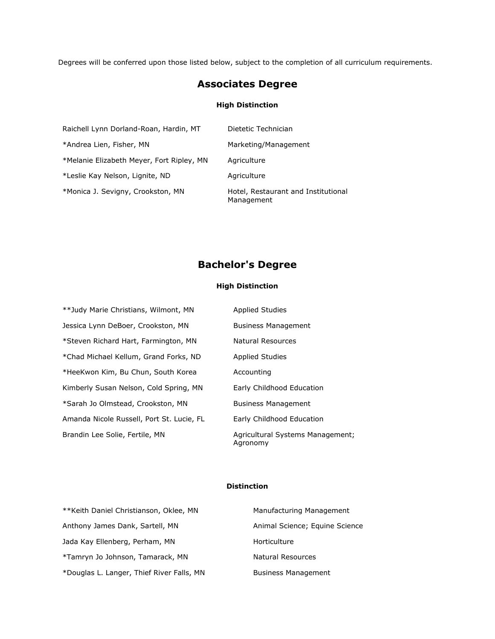Degrees will be conferred upon those listed below, subject to the completion of all curriculum requirements.

# **Associates Degree**

### **High Distinction**

| Raichell Lynn Dorland-Roan, Hardin, MT    | Dietetic Technician                               |
|-------------------------------------------|---------------------------------------------------|
| *Andrea Lien, Fisher, MN                  | Marketing/Management                              |
| *Melanie Elizabeth Meyer, Fort Ripley, MN | Agriculture                                       |
| *Leslie Kay Nelson, Lignite, ND           | Agriculture                                       |
| *Monica J. Sevigny, Crookston, MN         | Hotel, Restaurant and Institutional<br>Management |

# **Bachelor's Degree**

## **High Distinction**

| **Judy Marie Christians, Wilmont, MN      | <b>Applied Studies</b>                       |
|-------------------------------------------|----------------------------------------------|
| Jessica Lynn DeBoer, Crookston, MN        | <b>Business Management</b>                   |
| *Steven Richard Hart, Farmington, MN      | Natural Resources                            |
| *Chad Michael Kellum, Grand Forks, ND     | <b>Applied Studies</b>                       |
| *HeeKwon Kim, Bu Chun, South Korea        | Accounting                                   |
| Kimberly Susan Nelson, Cold Spring, MN    | Early Childhood Education                    |
| *Sarah Jo Olmstead, Crookston, MN         | <b>Business Management</b>                   |
| Amanda Nicole Russell, Port St. Lucie, FL | Early Childhood Education                    |
| Brandin Lee Solie, Fertile, MN            | Agricultural Systems Management;<br>Aaronomv |

### **Distinction**

| **Keith Daniel Christianson, Oklee, MN    | Manufacturing Management       |
|-------------------------------------------|--------------------------------|
| Anthony James Dank, Sartell, MN           | Animal Science; Equine Science |
| Jada Kay Ellenberg, Perham, MN            | Horticulture                   |
| *Tamryn Jo Johnson, Tamarack, MN          | Natural Resources              |
| *Douglas L. Langer, Thief River Falls, MN | <b>Business Management</b>     |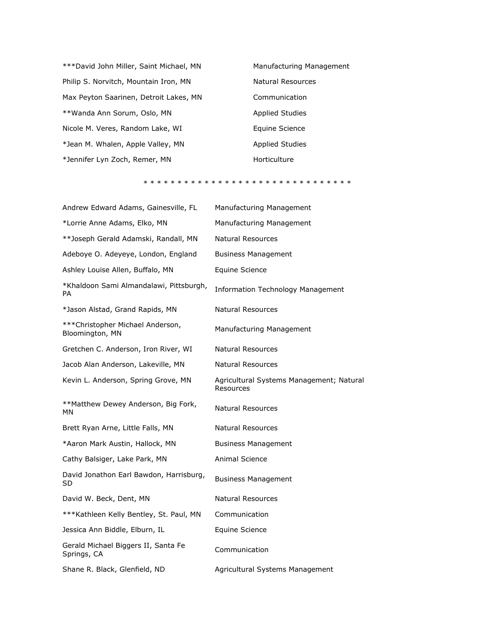\*\*\*David John Miller, Saint Michael, MN Manufacturing Management Philip S. Norvitch, Mountain Iron, MN Natural Resources Max Peyton Saarinen, Detroit Lakes, MN Communication \*\*Wanda Ann Sorum, Oslo, MN Annum Applied Studies Nicole M. Veres, Random Lake, WI **Equine Science** \*Jean M. Whalen, Apple Valley, MN Applied Studies \*Jennifer Lyn Zoch, Remer, MN Horticulture

#### \* \* \* \* \* \* \* \* \* \* \* \* \* \* \* \* \* \* \* \* \* \* \* \* \* \* \* \* \* \* \*

| Andrew Edward Adams, Gainesville, FL                 | Manufacturing Management                              |
|------------------------------------------------------|-------------------------------------------------------|
| *Lorrie Anne Adams, Elko, MN                         | Manufacturing Management                              |
| **Joseph Gerald Adamski, Randall, MN                 | <b>Natural Resources</b>                              |
| Adeboye O. Adeyeye, London, England                  | <b>Business Management</b>                            |
| Ashley Louise Allen, Buffalo, MN                     | Equine Science                                        |
| *Khaldoon Sami Almandalawi, Pittsburgh,<br>PA        | <b>Information Technology Management</b>              |
| *Jason Alstad, Grand Rapids, MN                      | <b>Natural Resources</b>                              |
| *** Christopher Michael Anderson,<br>Bloomington, MN | Manufacturing Management                              |
| Gretchen C. Anderson, Iron River, WI                 | <b>Natural Resources</b>                              |
| Jacob Alan Anderson, Lakeville, MN                   | <b>Natural Resources</b>                              |
| Kevin L. Anderson, Spring Grove, MN                  | Agricultural Systems Management; Natural<br>Resources |
| **Matthew Dewey Anderson, Big Fork,<br>МN            | <b>Natural Resources</b>                              |
| Brett Ryan Arne, Little Falls, MN                    | Natural Resources                                     |
| *Aaron Mark Austin, Hallock, MN                      | <b>Business Management</b>                            |
| Cathy Balsiger, Lake Park, MN                        | <b>Animal Science</b>                                 |
| David Jonathon Earl Bawdon, Harrisburg,<br>SD        | <b>Business Management</b>                            |
| David W. Beck, Dent, MN                              | <b>Natural Resources</b>                              |
| ***Kathleen Kelly Bentley, St. Paul, MN              | Communication                                         |
| Jessica Ann Biddle, Elburn, IL                       | Equine Science                                        |
| Gerald Michael Biggers II, Santa Fe<br>Springs, CA   | Communication                                         |
| Shane R. Black, Glenfield, ND                        | Agricultural Systems Management                       |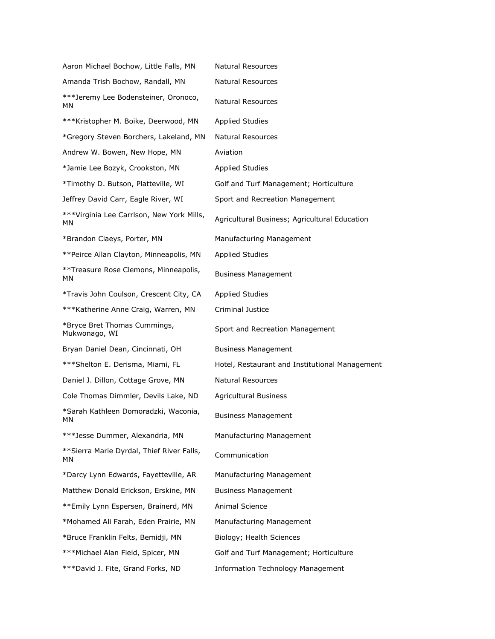| Aaron Michael Bochow, Little Falls, MN          | <b>Natural Resources</b>                       |
|-------------------------------------------------|------------------------------------------------|
| Amanda Trish Bochow, Randall, MN                | <b>Natural Resources</b>                       |
| ***Jeremy Lee Bodensteiner, Oronoco,<br>МN      | Natural Resources                              |
| ***Kristopher M. Boike, Deerwood, MN            | <b>Applied Studies</b>                         |
| *Gregory Steven Borchers, Lakeland, MN          | Natural Resources                              |
| Andrew W. Bowen, New Hope, MN                   | Aviation                                       |
| *Jamie Lee Bozyk, Crookston, MN                 | <b>Applied Studies</b>                         |
| *Timothy D. Butson, Platteville, WI             | Golf and Turf Management; Horticulture         |
| Jeffrey David Carr, Eagle River, WI             | Sport and Recreation Management                |
| ***Virginia Lee Carrlson, New York Mills,<br>МN | Agricultural Business; Agricultural Education  |
| *Brandon Claeys, Porter, MN                     | Manufacturing Management                       |
| **Peirce Allan Clayton, Minneapolis, MN         | <b>Applied Studies</b>                         |
| **Treasure Rose Clemons, Minneapolis,<br>ΜN     | <b>Business Management</b>                     |
| *Travis John Coulson, Crescent City, CA         | <b>Applied Studies</b>                         |
| *** Katherine Anne Craig, Warren, MN            | Criminal Justice                               |
| *Bryce Bret Thomas Cummings,<br>Mukwonago, WI   | Sport and Recreation Management                |
| Bryan Daniel Dean, Cincinnati, OH               | <b>Business Management</b>                     |
| ***Shelton E. Derisma, Miami, FL                | Hotel, Restaurant and Institutional Management |
| Daniel J. Dillon, Cottage Grove, MN             | <b>Natural Resources</b>                       |
| Cole Thomas Dimmler, Devils Lake, ND            | <b>Agricultural Business</b>                   |
| *Sarah Kathleen Domoradzki, Waconia,<br>ΜN      | <b>Business Management</b>                     |
| ***Jesse Dummer, Alexandria, MN                 | Manufacturing Management                       |
| **Sierra Marie Dyrdal, Thief River Falls,<br>ΜN | Communication                                  |
| *Darcy Lynn Edwards, Fayetteville, AR           | Manufacturing Management                       |
| Matthew Donald Erickson, Erskine, MN            | <b>Business Management</b>                     |
| **Emily Lynn Espersen, Brainerd, MN             | Animal Science                                 |
| *Mohamed Ali Farah, Eden Prairie, MN            | Manufacturing Management                       |
| *Bruce Franklin Felts, Bemidji, MN              | Biology; Health Sciences                       |
| ***Michael Alan Field, Spicer, MN               | Golf and Turf Management; Horticulture         |
| ***David J. Fite, Grand Forks, ND               | <b>Information Technology Management</b>       |
|                                                 |                                                |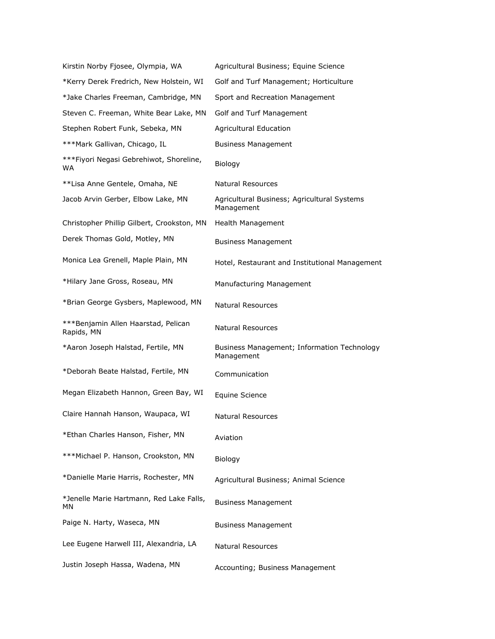| Kirstin Norby Fjosee, Olympia, WA                 | Agricultural Business; Equine Science                     |
|---------------------------------------------------|-----------------------------------------------------------|
| *Kerry Derek Fredrich, New Holstein, WI           | Golf and Turf Management; Horticulture                    |
| *Jake Charles Freeman, Cambridge, MN              | Sport and Recreation Management                           |
| Steven C. Freeman, White Bear Lake, MN            | Golf and Turf Management                                  |
| Stephen Robert Funk, Sebeka, MN                   | Agricultural Education                                    |
| ***Mark Gallivan, Chicago, IL                     | <b>Business Management</b>                                |
| ***Fiyori Negasi Gebrehiwot, Shoreline,<br>WA     | Biology                                                   |
| **Lisa Anne Gentele, Omaha, NE                    | <b>Natural Resources</b>                                  |
| Jacob Arvin Gerber, Elbow Lake, MN                | Agricultural Business; Agricultural Systems<br>Management |
| Christopher Phillip Gilbert, Crookston, MN        | Health Management                                         |
| Derek Thomas Gold, Motley, MN                     | <b>Business Management</b>                                |
| Monica Lea Grenell, Maple Plain, MN               | Hotel, Restaurant and Institutional Management            |
| *Hilary Jane Gross, Roseau, MN                    | Manufacturing Management                                  |
| *Brian George Gysbers, Maplewood, MN              | <b>Natural Resources</b>                                  |
| ***Benjamin Allen Haarstad, Pelican<br>Rapids, MN | <b>Natural Resources</b>                                  |
| *Aaron Joseph Halstad, Fertile, MN                | Business Management; Information Technology<br>Management |
| *Deborah Beate Halstad, Fertile, MN               | Communication                                             |
| Megan Elizabeth Hannon, Green Bay, WI             | Equine Science                                            |
| Claire Hannah Hanson, Waupaca, WI                 | <b>Natural Resources</b>                                  |
| *Ethan Charles Hanson, Fisher, MN                 | Aviation                                                  |
| ***Michael P. Hanson, Crookston, MN               | Biology                                                   |
| *Danielle Marie Harris, Rochester, MN             | Agricultural Business; Animal Science                     |
| *Jenelle Marie Hartmann, Red Lake Falls,<br>ΜN    | <b>Business Management</b>                                |
| Paige N. Harty, Waseca, MN                        | <b>Business Management</b>                                |
| Lee Eugene Harwell III, Alexandria, LA            | Natural Resources                                         |
| Justin Joseph Hassa, Wadena, MN                   | Accounting; Business Management                           |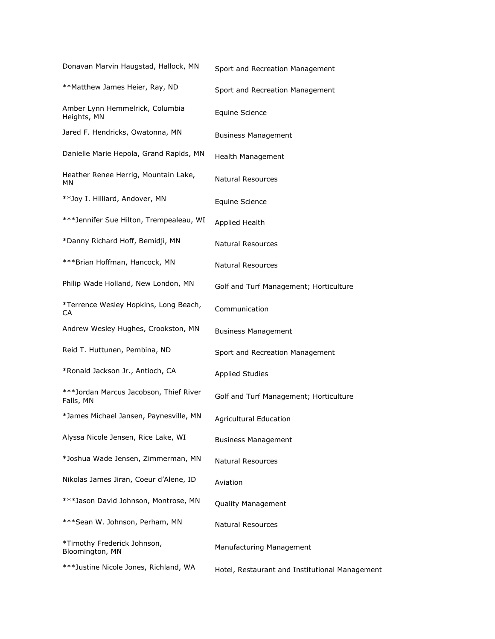| Donavan Marvin Haugstad, Hallock, MN                | Sport and Recreation Management                |
|-----------------------------------------------------|------------------------------------------------|
| **Matthew James Heier, Ray, ND                      | Sport and Recreation Management                |
| Amber Lynn Hemmelrick, Columbia<br>Heights, MN      | <b>Equine Science</b>                          |
| Jared F. Hendricks, Owatonna, MN                    | <b>Business Management</b>                     |
| Danielle Marie Hepola, Grand Rapids, MN             | Health Management                              |
| Heather Renee Herrig, Mountain Lake,<br>ΜN          | Natural Resources                              |
| **Joy I. Hilliard, Andover, MN                      | Equine Science                                 |
| ***Jennifer Sue Hilton, Trempealeau, WI             | Applied Health                                 |
| *Danny Richard Hoff, Bemidji, MN                    | <b>Natural Resources</b>                       |
| ***Brian Hoffman, Hancock, MN                       | <b>Natural Resources</b>                       |
| Philip Wade Holland, New London, MN                 | Golf and Turf Management; Horticulture         |
| *Terrence Wesley Hopkins, Long Beach,<br>СA         | Communication                                  |
| Andrew Wesley Hughes, Crookston, MN                 | <b>Business Management</b>                     |
| Reid T. Huttunen, Pembina, ND                       | Sport and Recreation Management                |
| *Ronald Jackson Jr., Antioch, CA                    | <b>Applied Studies</b>                         |
| ***Jordan Marcus Jacobson, Thief River<br>Falls, MN | Golf and Turf Management; Horticulture         |
| *James Michael Jansen, Paynesville, MN              | <b>Agricultural Education</b>                  |
| Alyssa Nicole Jensen, Rice Lake, WI                 | <b>Business Management</b>                     |
| *Joshua Wade Jensen, Zimmerman, MN                  | Natural Resources                              |
| Nikolas James Jiran, Coeur d'Alene, ID              | Aviation                                       |
| ***Jason David Johnson, Montrose, MN                | Quality Management                             |
| ***Sean W. Johnson, Perham, MN                      | Natural Resources                              |
| *Timothy Frederick Johnson,<br>Bloomington, MN      | Manufacturing Management                       |
| ***Justine Nicole Jones, Richland, WA               | Hotel, Restaurant and Institutional Management |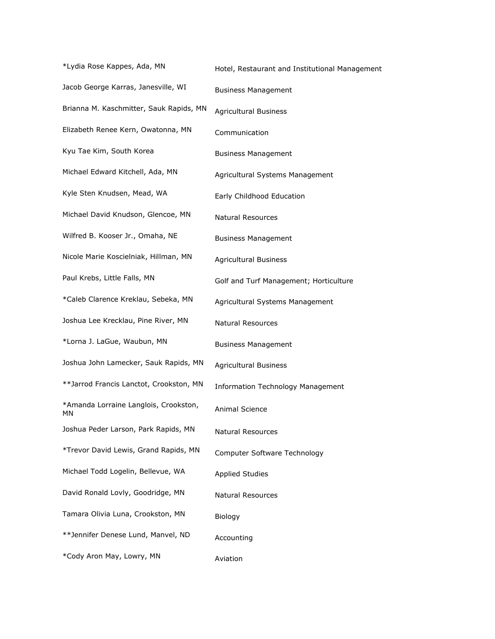\*Lydia Rose Kappes, Ada, MN Hotel, Restaurant and Institutional Management Jacob George Karras, Janesville, WI Business Management Brianna M. Kaschmitter, Sauk Rapids, MN Agricultural Business Elizabeth Renee Kern, Owatonna, MN Communication Kyu Tae Kim, South Korea Business Management Michael Edward Kitchell, Ada, MN Agricultural Systems Management Kyle Sten Knudsen, Mead, WA Early Childhood Education Michael David Knudson, Glencoe, MN Natural Resources Wilfred B. Kooser Jr., Omaha, NE Business Management Nicole Marie Koscielniak, Hillman, MN Agricultural Business Paul Krebs, Little Falls, MN Golf and Turf Management; Horticulture \*Caleb Clarence Kreklau, Sebeka, MN Agricultural Systems Management Joshua Lee Krecklau, Pine River, MN Natural Resources \*Lorna J. LaGue, Waubun, MN Business Management Joshua John Lamecker, Sauk Rapids, MN Agricultural Business \*\*Jarrod Francis Lanctot, Crookston, MN Information Technology Management \*Amanda Lorraine Langlois, Crookston, MN Animal Science Joshua Peder Larson, Park Rapids, MN Natural Resources \*Trevor David Lewis, Grand Rapids, MN Computer Software Technology Michael Todd Logelin, Bellevue, WA Applied Studies David Ronald Lovly, Goodridge, MN Natural Resources Tamara Olivia Luna, Crookston, MN Biology \*\*Jennifer Denese Lund, Manvel, ND Accounting \*Cody Aron May, Lowry, MN Aviation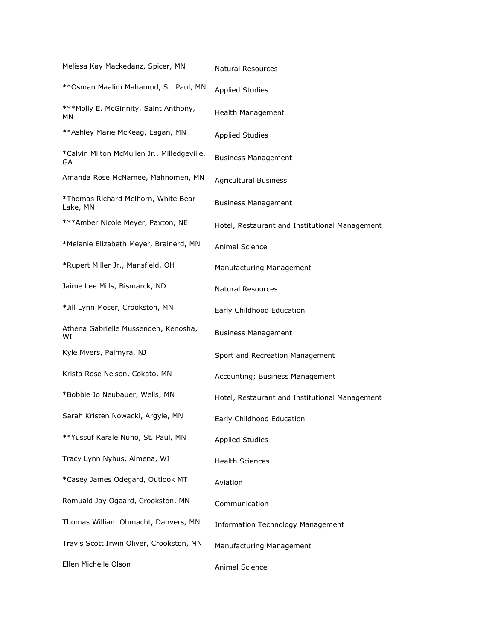| Melissa Kay Mackedanz, Spicer, MN                 | <b>Natural Resources</b>                       |
|---------------------------------------------------|------------------------------------------------|
| **Osman Maalim Mahamud, St. Paul, MN              | <b>Applied Studies</b>                         |
| *** Molly E. McGinnity, Saint Anthony,<br>ΜN      | Health Management                              |
| ** Ashley Marie McKeag, Eagan, MN                 | <b>Applied Studies</b>                         |
| *Calvin Milton McMullen Jr., Milledgeville,<br>GА | <b>Business Management</b>                     |
| Amanda Rose McNamee, Mahnomen, MN                 | <b>Agricultural Business</b>                   |
| *Thomas Richard Melhorn, White Bear<br>Lake, MN   | <b>Business Management</b>                     |
| ***Amber Nicole Meyer, Paxton, NE                 | Hotel, Restaurant and Institutional Management |
| *Melanie Elizabeth Meyer, Brainerd, MN            | Animal Science                                 |
| *Rupert Miller Jr., Mansfield, OH                 | Manufacturing Management                       |
| Jaime Lee Mills, Bismarck, ND                     | <b>Natural Resources</b>                       |
| *Jill Lynn Moser, Crookston, MN                   | Early Childhood Education                      |
| Athena Gabrielle Mussenden, Kenosha,<br>WI        | <b>Business Management</b>                     |
| Kyle Myers, Palmyra, NJ                           | Sport and Recreation Management                |
| Krista Rose Nelson, Cokato, MN                    | Accounting; Business Management                |
| *Bobbie Jo Neubauer, Wells, MN                    | Hotel, Restaurant and Institutional Management |
| Sarah Kristen Nowacki, Argyle, MN                 | Early Childhood Education                      |
| **Yussuf Karale Nuno, St. Paul, MN                | <b>Applied Studies</b>                         |
| Tracy Lynn Nyhus, Almena, WI                      | <b>Health Sciences</b>                         |
| *Casey James Odegard, Outlook MT                  | Aviation                                       |
| Romuald Jay Ogaard, Crookston, MN                 | Communication                                  |
| Thomas William Ohmacht, Danvers, MN               | <b>Information Technology Management</b>       |
| Travis Scott Irwin Oliver, Crookston, MN          | Manufacturing Management                       |
| Ellen Michelle Olson                              | Animal Science                                 |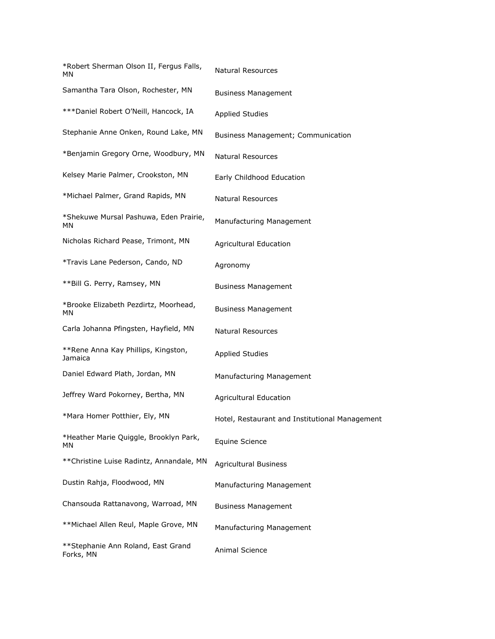| *Robert Sherman Olson II, Fergus Falls,<br>МN   | Natural Resources                              |
|-------------------------------------------------|------------------------------------------------|
| Samantha Tara Olson, Rochester, MN              | <b>Business Management</b>                     |
| *** Daniel Robert O'Neill, Hancock, IA          | <b>Applied Studies</b>                         |
| Stephanie Anne Onken, Round Lake, MN            | Business Management; Communication             |
| *Benjamin Gregory Orne, Woodbury, MN            | Natural Resources                              |
| Kelsey Marie Palmer, Crookston, MN              | Early Childhood Education                      |
| *Michael Palmer, Grand Rapids, MN               | Natural Resources                              |
| *Shekuwe Mursal Pashuwa, Eden Prairie,<br>МN    | Manufacturing Management                       |
| Nicholas Richard Pease, Trimont, MN             | <b>Agricultural Education</b>                  |
| *Travis Lane Pederson, Cando, ND                | Agronomy                                       |
| **Bill G. Perry, Ramsey, MN                     | <b>Business Management</b>                     |
| *Brooke Elizabeth Pezdirtz, Moorhead,<br>МN     | <b>Business Management</b>                     |
| Carla Johanna Pfingsten, Hayfield, MN           | Natural Resources                              |
| **Rene Anna Kay Phillips, Kingston,<br>Jamaica  | <b>Applied Studies</b>                         |
| Daniel Edward Plath, Jordan, MN                 | Manufacturing Management                       |
| Jeffrey Ward Pokorney, Bertha, MN               | <b>Agricultural Education</b>                  |
| *Mara Homer Potthier, Ely, MN                   | Hotel, Restaurant and Institutional Management |
| *Heather Marie Quiggle, Brooklyn Park,<br>ΜN    | <b>Equine Science</b>                          |
| ** Christine Luise Radintz, Annandale, MN       | <b>Agricultural Business</b>                   |
| Dustin Rahja, Floodwood, MN                     | Manufacturing Management                       |
| Chansouda Rattanavong, Warroad, MN              | <b>Business Management</b>                     |
| **Michael Allen Reul, Maple Grove, MN           | Manufacturing Management                       |
| **Stephanie Ann Roland, East Grand<br>Forks, MN | Animal Science                                 |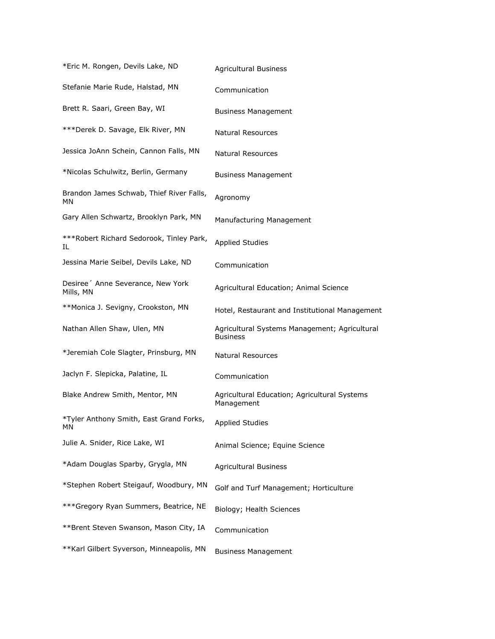| *Eric M. Rongen, Devils Lake, ND                | <b>Agricultural Business</b>                                     |
|-------------------------------------------------|------------------------------------------------------------------|
| Stefanie Marie Rude, Halstad, MN                | Communication                                                    |
| Brett R. Saari, Green Bay, WI                   | <b>Business Management</b>                                       |
| ***Derek D. Savage, Elk River, MN               | Natural Resources                                                |
| Jessica JoAnn Schein, Cannon Falls, MN          | <b>Natural Resources</b>                                         |
| *Nicolas Schulwitz, Berlin, Germany             | <b>Business Management</b>                                       |
| Brandon James Schwab, Thief River Falls,<br>МN  | Agronomy                                                         |
| Gary Allen Schwartz, Brooklyn Park, MN          | Manufacturing Management                                         |
| ***Robert Richard Sedorook, Tinley Park,<br>IL. | <b>Applied Studies</b>                                           |
| Jessina Marie Seibel, Devils Lake, ND           | Communication                                                    |
| Desiree ' Anne Severance, New York<br>Mills, MN | Agricultural Education; Animal Science                           |
| **Monica J. Sevigny, Crookston, MN              | Hotel, Restaurant and Institutional Management                   |
| Nathan Allen Shaw, Ulen, MN                     | Agricultural Systems Management; Agricultural<br><b>Business</b> |
| *Jeremiah Cole Slagter, Prinsburg, MN           | <b>Natural Resources</b>                                         |
| Jaclyn F. Slepicka, Palatine, IL                | Communication                                                    |
| Blake Andrew Smith, Mentor, MN                  | Agricultural Education; Agricultural Systems<br>Management       |
| *Tyler Anthony Smith, East Grand Forks,<br>ΜN   | <b>Applied Studies</b>                                           |
| Julie A. Snider, Rice Lake, WI                  | Animal Science; Equine Science                                   |
| *Adam Douglas Sparby, Grygla, MN                | <b>Agricultural Business</b>                                     |
| *Stephen Robert Steigauf, Woodbury, MN          | Golf and Turf Management; Horticulture                           |
| *** Gregory Ryan Summers, Beatrice, NE          | Biology; Health Sciences                                         |
| **Brent Steven Swanson, Mason City, IA          | Communication                                                    |
| ** Karl Gilbert Syverson, Minneapolis, MN       | <b>Business Management</b>                                       |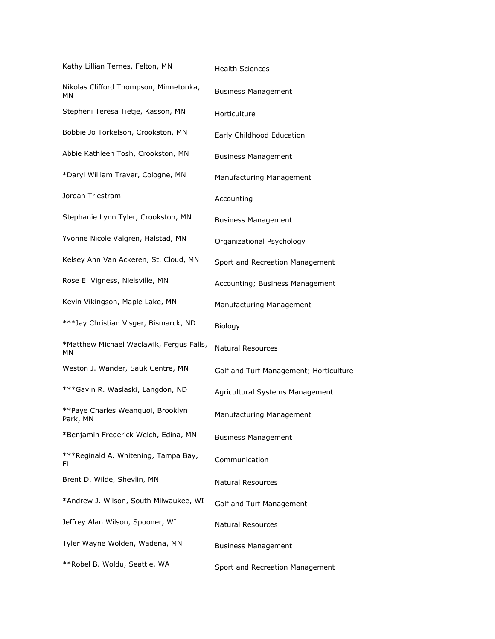| Kathy Lillian Ternes, Felton, MN               | <b>Health Sciences</b>                 |
|------------------------------------------------|----------------------------------------|
| Nikolas Clifford Thompson, Minnetonka,<br>ΜN   | <b>Business Management</b>             |
| Stepheni Teresa Tietje, Kasson, MN             | Horticulture                           |
| Bobbie Jo Torkelson, Crookston, MN             | Early Childhood Education              |
| Abbie Kathleen Tosh, Crookston, MN             | <b>Business Management</b>             |
| *Daryl William Traver, Cologne, MN             | Manufacturing Management               |
| Jordan Triestram                               | Accounting                             |
| Stephanie Lynn Tyler, Crookston, MN            | <b>Business Management</b>             |
| Yvonne Nicole Valgren, Halstad, MN             | Organizational Psychology              |
| Kelsey Ann Van Ackeren, St. Cloud, MN          | Sport and Recreation Management        |
| Rose E. Vigness, Nielsville, MN                | Accounting; Business Management        |
| Kevin Vikingson, Maple Lake, MN                | Manufacturing Management               |
| ***Jay Christian Visger, Bismarck, ND          | Biology                                |
| *Matthew Michael Waclawik, Fergus Falls,<br>МN | <b>Natural Resources</b>               |
| Weston J. Wander, Sauk Centre, MN              | Golf and Turf Management; Horticulture |
| ***Gavin R. Waslaski, Langdon, ND              | Agricultural Systems Management        |
| **Paye Charles Weanquoi, Brooklyn<br>Park, MN  | Manufacturing Management               |
| *Benjamin Frederick Welch, Edina, MN           | <b>Business Management</b>             |
| ***Reginald A. Whitening, Tampa Bay,<br>FL     | Communication                          |
| Brent D. Wilde, Shevlin, MN                    | <b>Natural Resources</b>               |
| *Andrew J. Wilson, South Milwaukee, WI         | Golf and Turf Management               |
| Jeffrey Alan Wilson, Spooner, WI               | Natural Resources                      |
| Tyler Wayne Wolden, Wadena, MN                 | <b>Business Management</b>             |
| **Robel B. Woldu, Seattle, WA                  | Sport and Recreation Management        |